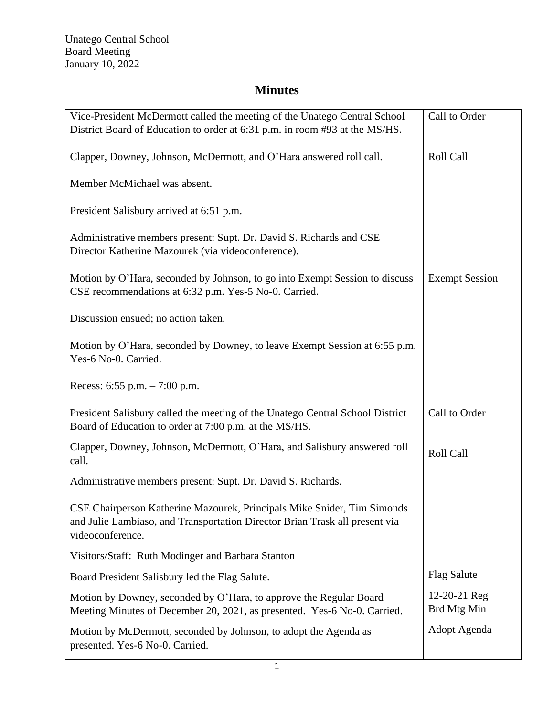## **Minutes**

| Vice-President McDermott called the meeting of the Unatego Central School<br>District Board of Education to order at 6:31 p.m. in room #93 at the MS/HS.                   | Call to Order               |
|----------------------------------------------------------------------------------------------------------------------------------------------------------------------------|-----------------------------|
| Clapper, Downey, Johnson, McDermott, and O'Hara answered roll call.                                                                                                        | Roll Call                   |
| Member McMichael was absent.                                                                                                                                               |                             |
| President Salisbury arrived at 6:51 p.m.                                                                                                                                   |                             |
| Administrative members present: Supt. Dr. David S. Richards and CSE<br>Director Katherine Mazourek (via videoconference).                                                  |                             |
| Motion by O'Hara, seconded by Johnson, to go into Exempt Session to discuss<br>CSE recommendations at 6:32 p.m. Yes-5 No-0. Carried.                                       | <b>Exempt Session</b>       |
| Discussion ensued; no action taken.                                                                                                                                        |                             |
| Motion by O'Hara, seconded by Downey, to leave Exempt Session at 6:55 p.m.<br>Yes-6 No-0. Carried.                                                                         |                             |
| Recess: $6:55$ p.m. $-7:00$ p.m.                                                                                                                                           |                             |
| President Salisbury called the meeting of the Unatego Central School District<br>Board of Education to order at 7:00 p.m. at the MS/HS.                                    | Call to Order               |
| Clapper, Downey, Johnson, McDermott, O'Hara, and Salisbury answered roll<br>call.                                                                                          | Roll Call                   |
| Administrative members present: Supt. Dr. David S. Richards.                                                                                                               |                             |
| CSE Chairperson Katherine Mazourek, Principals Mike Snider, Tim Simonds<br>and Julie Lambiaso, and Transportation Director Brian Trask all present via<br>videoconference. |                             |
| Visitors/Staff: Ruth Modinger and Barbara Stanton                                                                                                                          |                             |
| Board President Salisbury led the Flag Salute.                                                                                                                             | <b>Flag Salute</b>          |
| Motion by Downey, seconded by O'Hara, to approve the Regular Board<br>Meeting Minutes of December 20, 2021, as presented. Yes-6 No-0. Carried.                             | 12-20-21 Reg<br>Brd Mtg Min |
| Motion by McDermott, seconded by Johnson, to adopt the Agenda as<br>presented. Yes-6 No-0. Carried.                                                                        | Adopt Agenda                |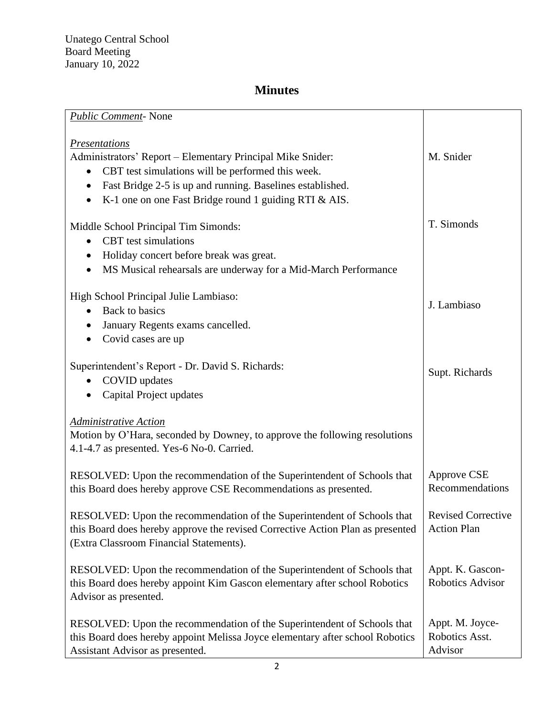## **Minutes**

| <b>Public Comment-None</b>                                                                                                |                           |
|---------------------------------------------------------------------------------------------------------------------------|---------------------------|
| <i><u><b>Presentations</b></u></i>                                                                                        |                           |
| Administrators' Report – Elementary Principal Mike Snider:                                                                | M. Snider                 |
| CBT test simulations will be performed this week.<br>$\bullet$                                                            |                           |
| Fast Bridge 2-5 is up and running. Baselines established.<br>$\bullet$                                                    |                           |
| K-1 one on one Fast Bridge round 1 guiding RTI & AIS.                                                                     |                           |
|                                                                                                                           | T. Simonds                |
| Middle School Principal Tim Simonds:<br><b>CBT</b> test simulations                                                       |                           |
| $\bullet$                                                                                                                 |                           |
| Holiday concert before break was great.<br>$\bullet$                                                                      |                           |
| MS Musical rehearsals are underway for a Mid-March Performance                                                            |                           |
| High School Principal Julie Lambiaso:                                                                                     |                           |
| Back to basics<br>$\bullet$                                                                                               | J. Lambiaso               |
| January Regents exams cancelled.                                                                                          |                           |
| Covid cases are up<br>$\bullet$                                                                                           |                           |
|                                                                                                                           |                           |
| Superintendent's Report - Dr. David S. Richards:                                                                          | Supt. Richards            |
| COVID updates                                                                                                             |                           |
| Capital Project updates<br>$\bullet$                                                                                      |                           |
| <b>Administrative Action</b>                                                                                              |                           |
| Motion by O'Hara, seconded by Downey, to approve the following resolutions                                                |                           |
| 4.1-4.7 as presented. Yes-6 No-0. Carried.                                                                                |                           |
|                                                                                                                           |                           |
| RESOLVED: Upon the recommendation of the Superintendent of Schools that                                                   | Approve CSE               |
| this Board does hereby approve CSE Recommendations as presented.                                                          | Recommendations           |
|                                                                                                                           | <b>Revised Corrective</b> |
| RESOLVED: Upon the recommendation of the Superintendent of Schools that                                                   | <b>Action Plan</b>        |
| this Board does hereby approve the revised Corrective Action Plan as presented<br>(Extra Classroom Financial Statements). |                           |
|                                                                                                                           |                           |
| RESOLVED: Upon the recommendation of the Superintendent of Schools that                                                   | Appt. K. Gascon-          |
| this Board does hereby appoint Kim Gascon elementary after school Robotics                                                | Robotics Advisor          |
| Advisor as presented.                                                                                                     |                           |
|                                                                                                                           |                           |
| RESOLVED: Upon the recommendation of the Superintendent of Schools that                                                   | Appt. M. Joyce-           |
| this Board does hereby appoint Melissa Joyce elementary after school Robotics                                             | Robotics Asst.            |
| Assistant Advisor as presented.                                                                                           | Advisor                   |